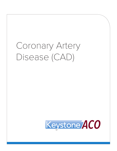# Coronary Artery Disease (CAD)

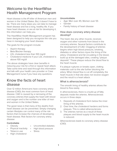## Welcome to the HeartWise Health Management Program

Heart disease is the #1 killer of American men and women in the United States. But, it doesn't have to be. There are many steps you can take to manage heart disease and live a long, healthy life. If you have heart disease, or are at risk for developing it, this information can help you.

The HeartWise Health Management program has been designed to help you recognize the role you have in managing your heart disease.

The goals for the program include:

- Aspirin therapy
- Beta Blocker therapy
- LDL cholesterol less than 100 mg/dl
- Cholesterol medicine if your LDL cholesterol is above 100 mg/dl

The above strategies have clear benefits in reducing your risk for a first or repeat heart attack. Take some time and read through this information and talk with your health care provider or Case Management nurse if you have any questions.

## Know the facts of heart disease

Over 12 million Americans have coronary artery disease (CAD), the most common form of heart disease. CAD is caused by a narrowing of the coronary arteries that supply the heart with blood and oxygen and is the number one killer of men and women in the United States.

The good news is that many of the deaths from heart disease can be prevented. Simply changing certain lifestyles can control many of the risk factors that increase the chances of developing heart disease. Risk factors for coronary artery disease

#### Controllable

- **Obesity**
- Uncontrolled diabetes
- Physical inactivity Tobacco use
- High blood pressure **Stress**
- High cholesterol

#### Uncontrollable

- Age: Men over 45; Women over 55
- Gender
- Family history of heart disease

## How does coronary artery disease develop?

The heart, like any other muscle, receives oxygen and other nutrients from blood in the coronary arteries. Several factors contribute to the development of CAD. Clogging of arteries begins when high blood pressure, smoking, diabetes or other factors injure the lining of the artery. Cholesterol and fat circulating in the blood, build up at the damaged sites, creating "plaque deposits". These plaque reduce the blood flow to the heart muscle.

If a plaque ruptures or breaks open, clotting materials rush to the site further blocking the artery. When blood flow is cut off completely, the heart muscle in that site does not receive oxygen and the result is a heart attack.

## What is atherosclerosis?

The smooth lining of healthy arteries allows the blood to flow easily.

In atherosclerosis, there is a build-up of fatty deposits inside the arteries. Atherosclerosis occurs in three steps:

- 1. Deposits of cholesterol form below the inner lining of the arteries.
- 2. Over time, the cholesterol hardens and forms plaques. This is called atherosclerosis.
- 3. The arteries narrow as a result of these plaques and blood supply to the heart muscle is reduced.

Atherosclerosis leads to coronary artery disease (CAD).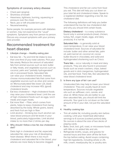## Symptoms of coronary artery disease

- Chest pain (angina)
- Shortness of breath
- Heaviness, tightness, burning, squeezing or pressure over the chest
- Neck, jaw or left shoulder/arm pain
- Nausea/sweating

Some people, for example persons with diabetes or women, may not experience the "usual" symptoms. Symptoms vary from person to person. Discuss any unusual symptoms with your primary care provider.

# Recommended treatment for heart disease

- 1. Lifestyle change Healthy eating plan
- Eat less fat Try and limit fat intake to less than one-third of your total calories. Pick your fats wisely. Reduce the amount of saturated fats from animal sources such as lard, butter or fatty meats, and vegetable sources such as coconut, palm and "partially hydrogenated" oils in processed foods. Saturated fats can raise your cholesterol levels. Instead, choose monounsaturated fats that come from vegetable sources such as olive and canola oil. Monounsaturated fats lower LDL (bad) cholesterol and may increase HDL (good) cholesterol levels.
- Eat less cholesterol High-cholesterol foods may raise your cholesterol level. Limit the use of high cholesterol foods such as eggs, lunch meats and organ meats.
- Eat more fiber Fiber, which comes from plants, helps to keep cholesterol from being absorbed by the body. Whole grains, beans and fresh fruit are high in fiber.
- Limit alcohol Drinking too much alcohol can raise blood pressure and fat levels in your blood, particularly triglycerides. Limit alcohol intake to no more than 2 drinks per day.

#### 2. Why should I follow a low fat, low cholesterol diet?

Diets high in cholesterol and fat, especially saturated fat, raise your risk of developing heart disease. When there is too much cholesterol and saturated fat in the blood, your arteries are more likely to become clogged.

This cholesterol and fat can come from food you eat. This diet will help you cut down on your total fat and cholesterol intake. Speak to a registered dietitian regarding a low fat, low cholesterol diet.

The following definitions will help you better understand the low fat, low cholesterol diet and why you should limit certain foods.

Dietary cholesterol – is a waxy substance found only in animal products (meat, chicken, turkey, fish, organ meats, eggs, and dairy products). It is not fat.

Saturated fats - is generally solid at room temperature. It can raise your blood cholesterol level. Sources of saturated fat include: butter and other animal fats, palm oil, palm kernel oil, coconut oil, cocoa butter (found in chocolate), and solid and hydrogenated shortening such as Crisco.

Trans fats - occur naturally in meat and dairy products. They are also found in processed foods such as snack crackers, chips, baked goods and in stick margarines, hydrogenated oils, and fast food. Trans fats, like saturated fat, raise blood cholesterol level.

### 3. Is there any type of fat I can use?

Unsaturated fats may help to lower your blood cholesterol. They are usually liquid at room temperature. Sources include vegetable oils such as safflower, corn, canola, and olive oil. While these oils are better to use than saturated fats, you should still limit the amounts. Your goal is to cut down on the total amount of fat in your diet, not just the saturated fat.

#### 4. Healthy cooking tips

- Trim all visible fat, including poultry skin before cooking. Limit your meat/meat alternative servings to 6 ounces (cooked portion) daily. Six ounces is about the size of two decks of playing cards.
- Bake, broil, boil, grill, roast, or microwave foods with little or no added fats and oils.
- Refrigerate broths, soups, and gravies for several hours and then skim off the fat from the top before eating. Avoid soups containing high fat ingredients, including whole or 2% milk, cream, meat/poultry fat, or poultry skin.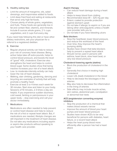#### 5. Healthy eating tips

- Limit the amount of margarine, oils, salad dressings, and mayonnaise added to foods.
- Limit deep fried food and eating at restaurants that serve only high fat foods.
- Choose plenty of whole grains, vegetables, and fruits. These foods are generally low in fat and contain fiber, vitamins, and minerals. Include 6 ounces whole grains,  $2\frac{1}{2}$  cups vegetables, and 2 cups fruit every day.

If you need help following this diet or have other dietary restrictions, ask your physician for a referral to a registered dietitian.

#### 6. Exercise

- Regular physical activity can help to reduce your risk of coronary heart disease. Being active helps take off extra pounds, helps to control blood pressure, and boosts the level of "good" HDL cholesterol. Exercise also strengthens the heart and helps to control blood sugar. Some studies show that being inactive increases your risk of a heart attack.
- Low- to moderate-intensity activity can help lower the risk of heart disease.
- Walking, stair climbing, gardening, dancing and bicycling are examples of activity that will help promote a healthy heart.
- Exercise at least 3 or 4 times each week for 30 minutes. Start slow and listen to your body. Sessions of 10 minutes, 2-3 times a day are helpful. If you experience sudden dizziness, cold sweat, fainting or pain/pressure in your upper body – stop exercising and call your doctor immediately.

#### 7. Medications

Medications are often needed to help prevent or control heart disease and help to reduce the risk of a first or repeat heart attack. But, if medications are needed, lifestyle changes are still important in the treatment of heart disease. Do not take any medications including aspirin or aspirin-like products without speaking to your health care provider.

#### Aspirin therapy

- Can reduce heart damage during a heart attack
- Helps to keep blood from clotting
- Recommended dose 81 325 mg per day
- Enteric coated to provide protection against stomach upset
- Do not take if allergic to aspirin or if you are taking other anticoagulants unless a health care provider tells you to
- Do not take if you have bleeding ulcers

#### Beta blockers

- Slow the heartbeat, lower blood pressure, and reduce the workload of the heart
- Over time, they improve the heart's pumping ability
- Studies have shown that beta blockers help to prevent a repeat heart attack
- Should not be used in persons with asthma, heart block, slow heart beat, or very low blood pressure

#### Cholesterol-lowering agents (statins)

- Block the production of cholesterol in the liver
- Generally first choice in treating high cholesterol
- Lower LDL (bad) cholesterol in the blood
- Help to decrease the blockages in the arteries
- May also help to decrease the inflammation in the lining of arteries
- Side effects may include muscle aches, skin rashes, abdominal pain, constipation or abnormal liver tests

#### ACE (angiotension converting enzyme) inhibitors

- Stop the production of a chemical that makes blood vessels narrow
- Improve the amount of blood your heart pumps and lower blood pressure
- Studies have shown ACEs to be very beneficial for persons with diabetes, heart failure, or a recent heart attack
- Helps the heart pump blood more efficiently after a person has had a heart attack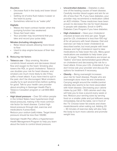#### **Diuretics**

- Decrease fluid in the body and lower blood pressure
- Getting rid of extra fluid makes it easier or the heart to pump
- Sometimes referred to as "water pills"

#### **Digitalis**

- Makes the heart contract harder when the pumping function has weakened
- Slows fast heart rates
- Your provider may recommend that you take and record your pulse daily

#### Nitrates (including nitroglycerin)

- Relax blood vessels allowing more blood to flow
- Used to stop angina because of their fast effect

#### 8. Reducing risk factors

- Tobacco use Stop smoking. Nicotine constricts blood vessels and decreases blood flow and oxygen to the heart. Smoking also lowers the HDL or good cholesterol. Tobacco use doubles your risk for heart disease, and smokers are much more likely to die if they suffer a heart attack. If you have tried to quit in the past, don't be discouraged. Most smokers usually try to quit several times before quitting for good. Talk to your health care provider about enrolling in Geisinger Health Plan's Tobacco Cessation program or call 800-883- 6355.
- High blood pressure Over 50 million people in the United States have hypertension (high blood pressure), making it the most common risk factor for heart disease. Control high blood pressure through diet, exercise and medications if prescribed. Reduce your sodium (salt) intake. Target blood

pressure should be less than 130/80.

Geisinger Health Plan offers a Hypertension Health Management Program to help you learn about the tools to control blood pressure.

- Uncontrolled diabetes Diabetes is also one of the leading causes of heart disease. Carefully monitor blood sugars and aim for an A1c of less than 7%. If you have diabetes, your provider may recommend a medication called an ACE inhibitor. These medicines have been proven to decrease the risk for heart disease in people with diabetes. Enroll in GHP's Diabetes Care Program if you have diabetes.
- High cholesterol Have your cholesterol checked at least one time per year. Target goal for LDL cholesterol is less than 100 mg/ dl for all persons with heart disease. Diet and exercise can help to lower cholesterol as described earlier, but most people with heart disease and high cholesterol need to take medications to help lower the LDL. Many good medications are available to help lower your LDL to target. These medications are known as "statins" and have demonstrated good effects on cholesterol and decreasing the risk for a heart attack. Know your LDL cholesterol, if you don't know ask your provider and discuss the options for treatment if necessary.
- Obesity Being overweight increases your risk for heart disease. People who are overweight store more fat and cholesterol. Carrying weight around the middle (central obesity) also seems to be more associated with heart disease. Decreasing your calorie intake by just 300 – 500 calories each day will help you to lose a pound every week or two. Reduce your serving sizes by serving food on a smaller plate and put leftovers away immediately. Eat at the table, not in front of the TV. Choose lower fat snacks and share meals/desserts when eating out. Adding 20 – 30 minutes of exercise daily will also help the body to burn more calories and promote weight loss.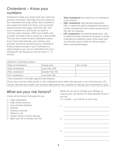# Cholesterol – Know your numbers

Cholesterol helps your body build new cells and produce hormones. Normally, the liver makes all the cholesterol the body needs. But cholesterol also enters the body from food, such as animalbased products like eggs, meat and milk. Too much cholesterol in the blood can lead to coronary artery disease. Often your health care provider will order what is known as a lipid profile. This test will include several cholesterol values. If you have heart disease, your primary care provider should be monitoring your cholesterol levels at least annually. If your cholesterol is above target or you are on medications for your cholesterol, the frequency may be every  $3 - 4$ months.

- **Total cholesterol:** the total level of cholesterol in your blood.
- HDL cholesterol: high-density lipoprotein. HDL is called the good cholesterol because it carries cholesterol in the blood vessel back to the liver for disposal.
- LDL cholesterol: low-density lipoprotein. LDL is called the bad cholesterol because it carries cholesterol to different parts of the body and can become stuck inside the blood vessel walls causing blockages

| Goals for cholesterol values |                 |             |
|------------------------------|-----------------|-------------|
| Type of cholesterol          | Target goal     | Your result |
| Total cholesterol            | Less than 200   |             |
| HDL cholesterol              | Greater than 40 |             |
| LDL cholesterol              | Less than 100   |             |

\*Very important in the fight against heart disease.

If you have not had a lipid profile or LDL cholesterol done within the last year, or do not know your LDL results, talk with your health care provider. Medications are available to help get your cholesterol to goal.

# What are your risk factors?

Check all risk factors that apply to you:

- ☐ High cholesterol
- ☐ High blood pressure
- ☐ Uncontrolled diabetes
- ☐ Obesity
- ☐ Physical inactivity
- ☐ Tobacco use
- ☐ Family history of heart disease
- ☐ Male over 45 or female over 55

What can you do to change your lifestyle or reduce your risk factors for heart disease? Even if you set

1 or 2 goals – you will be on your way.

| 3. |
|----|
|    |
|    |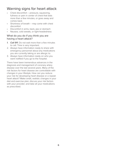# Warning signs for heart attack

- Chest discomfort pressure, squeezing, fullness or pain in center of chest that lasts more than a few minutes, or goes away and comes back
- Shortness of breath may come with chest discomfort
- Discomfort in arms, back, jaw or stomach
- Nausea, cold sweats, or light-headedness

## What do you do if you think you are having a heart attack?

- *1. Call 911*. Do not wait more than a few minutes to call. Time is very important.
- 2. Always have information ready to share with emergency personnel about any medications you are currently taking or are allergic to.
- 3. Always have information ready on who you want notified if you go to the hospital.

There have been tremendous advances in the diagnosis and management of coronary artery disease over the last several years. Many of the risk factors for heart disease are controllable with changes in your lifestyle. How can you reduce your risk for developing heart disease or a repeat heart attack? Make small, realistic changes in your diet and exercise plan; discuss your risk factors with your provider; and take all your medications as prescribed.